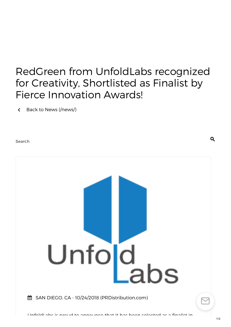# RedGreen from UnfoldLabs recognized for Creativity, Shortlisted as Finalist by Fierce Innovation Awards!

Back to News [\(/news/\)](https://www.prdistribution.com/news/)

Search



 $\mathbf Q$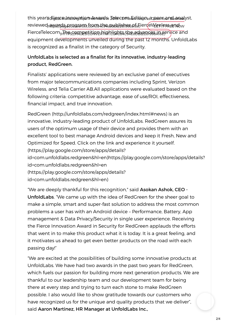this year's Fijan Calmanyatig that wand in Zelecop to Edition, a peacroan sul analyst, reviewed<sub>h</sub>aw*gyslag Bi*cosvaffa, from a the publishes a fajer (eWireless and w FierceTelecom<sub>(H</sub>Thes9, pAGESEttion highlights the advances in service and equipment developments unveiled during the past 12 months. UnfoldLabs is recognized as a finalist in the category of Security.

# UnfoldLabs is selected as a finalist for its innovative, industry-leading product, RedGreen.

Finalists' applications were reviewed by an exclusive panel of executives from major telecommunications companies including Sprint, Verizon Wireless, and Telia Carrier AB.All applications were evaluated based on the following criteria: competitive advantage, ease of use/ROI, effectiveness, financial impact, and true innovation.

RedGreen [\(http://unfoldlabs.com/redgreen/index.html#news\)](http://unfoldlabs.com/redgreen/index.html#news) is an innovative, industry-leading product of UnfoldLabs. RedGreen assures its users of the optimum usage of their device and provides them with an excellent tool to best manage Android devices and keep it Fresh, New and Optimized for Speed. Click on the link and experience it yourself. (https://play.google.com/store/apps/details?

[id=com.unfoldlabs.redgreen&hl=en\)https://play.google.com/store/apps/details?](https://play.google.com/store/apps/details?id=com.unfoldlabs.redgreen&hl=en) id=com.unfoldlabs.redgreen&hl=en

(https://play.google.com/store/apps/details?

id=com.unfoldlabs.redgreen&hl=en)

"We are deeply thankful for this recognition," said Asokan Ashok, CEO - UnfoldLabs. "We came up with the idea of RedGreen for the sheer goal to make a simple, smart and super-fast solution to address the most common problems a user has with an Android device – Performance, Battery, App management & Data Privacy/Security in single user experience. Receiving the Fierce Innovation Award in Security for RedGreen applauds the efforts that went in to make this product what it is today. It is a great feeling, and it motivates us ahead to get even better products on the road with each passing day!"

"We are excited at the possibilities of building some innovative products at UnfoldLabs. We have had two awards in the past two years for RedGreen, which fuels our passion for building more next generation products. We are thankful to our leadership team and our development team for being there at every step and trying to turn each stone to make RedGreen possible. I also would like to show gratitude towards our customers who have recognized us for the unique and quality products that we deliver", said Aaron Martinez, HR Manager at UnfoldLabs Inc.,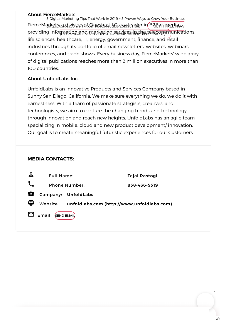#### About FierceMarkets

FierceMarkets<sub>//pag</sub>division of Questex by *i*s a leader in B2B ermedia, w providing information and marketing services in the telecommunications, life sciences, healthcare, IT, energy, government, finance, and retail industries through its portfolio of email newsletters, websites, webinars, conferences, and trade shows. Every business day, FierceMarkets' wide array of digital publications reaches more than 2 million executives in more than 100 countries. 5 Digital Marketing TIps That Work in 2019 + 3 Proven Ways to Grow Your Business

## About UnfoldLabs Inc.

UnfoldLabs is an Innovative Products and Services Company based in Sunny San Diego, California. We make sure everything we do, we do it with earnestness. With a team of passionate strategists, creatives, and technologists, we aim to capture the changing trends and technology through innovation and reach new heights. UnfoldLabs has an agile team specializing in mobile, cloud and new product development/ innovation. Our goal is to create meaningful futuristic experiences for our Customers.

## **MEDIA CONTACTS:**

| ക് | <b>Full Name:</b>    |                     | <b>Tejal Rastogi</b>                                |
|----|----------------------|---------------------|-----------------------------------------------------|
|    | <b>Phone Number:</b> |                     | 858-436-5519                                        |
| 會  |                      | Company: UnfoldLabs |                                                     |
| ⊕  |                      |                     | Website: unfoldlabs.com (http://www.unfoldlabs.com) |
|    | Email: SEND EMAIL    |                     |                                                     |

 $\frac{1}{2}$